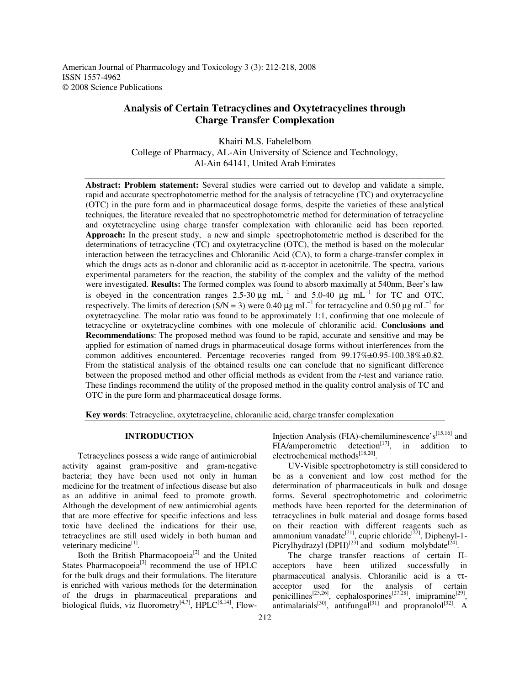American Journal of Pharmacology and Toxicology 3 (3): 212-218, 2008 ISSN 1557-4962 © 2008 Science Publications

# **Analysis of Certain Tetracyclines and Oxytetracyclines through Charge Transfer Complexation**

Khairi M.S. Fahelelbom College of Pharmacy, AL-Ain University of Science and Technology, Al-Ain 64141, United Arab Emirates

**Abstract: Problem statement:** Several studies were carried out to develop and validate a simple, rapid and accurate spectrophotometric method for the analysis of tetracycline (TC) and oxytetracycline (OTC) in the pure form and in pharmaceutical dosage forms, despite the varieties of these analytical techniques, the literature revealed that no spectrophotometric method for determination of tetracycline and oxytetracycline using charge transfer complexation with chloranilic acid has been reported. **Approach:** In the present study, a new and simple spectrophotometric method is described for the determinations of tetracycline (TC) and oxytetracycline (OTC), the method is based on the molecular interaction between the tetracyclines and Chloranilic Acid (CA), to form a charge-transfer complex in which the drugs acts as n-donor and chloranilic acid as  $\pi$ -acceptor in acetonitrile. The spectra, various experimental parameters for the reaction, the stability of the complex and the validty of the method were investigated. **Results:** The formed complex was found to absorb maximally at 540nm, Beer's law is obeyed in the concentration ranges 2.5-30  $\mu$ g mL<sup>-1</sup> and 5.0-40  $\mu$ g mL<sup>-1</sup> for TC and OTC, respectively. The limits of detection (S/N = 3) were 0.40  $\mu$ g mL<sup>-1</sup> for tetracycline and 0.50  $\mu$ g mL<sup>-1</sup> for oxytetracycline. The molar ratio was found to be approximately 1:1, confirming that one molecule of tetracycline or oxytetracycline combines with one molecule of chloranilic acid. **Conclusions and Recommendations**: The proposed method was found to be rapid, accurate and sensitive and may be applied for estimation of named drugs in pharmaceutical dosage forms without interferences from the common additives encountered. Percentage recoveries ranged from 99.17%±0.95-100.38%±0.82. From the statistical analysis of the obtained results one can conclude that no significant difference between the proposed method and other official methods as evident from the *t*-test and variance ratio. These findings recommend the utility of the proposed method in the quality control analysis of TC and OTC in the pure form and pharmaceutical dosage forms.

**Key words**: Tetracycline, oxytetracycline, chloranilic acid, charge transfer complexation

## **INTRODUCTION**

 Tetracyclines possess a wide range of antimicrobial activity against gram-positive and gram-negative bacteria; they have been used not only in human medicine for the treatment of infectious disease but also as an additive in animal feed to promote growth. Although the development of new antimicrobial agents that are more effective for specific infections and less toxic have declined the indications for their use, tetracyclines are still used widely in both human and veterinary medicine<sup>[1]</sup>.

Both the British Pharmacopoeia<sup>[2]</sup> and the United States Pharmacopoeia $[3]$  recommend the use of HPLC for the bulk drugs and their formulations. The literature is enriched with various methods for the determination of the drugs in pharmaceutical preparations and biological fluids, viz fluorometry<sup>[4,7]</sup>,  $HPLC^{[8,14]}$ , FlowInjection Analysis (FIA)-chemiluminescence's $[15,16]$  and  $FIA/amperometric detection<sup>[17]</sup>$ , in addition to electrochemical methods<sup>[18,20]</sup>.

 UV-Visible spectrophotometry is still considered to be as a convenient and low cost method for the determination of pharmaceuticals in bulk and dosage forms. Several spectrophotometric and colorimetric methods have been reported for the determination of tetracyclines in bulk material and dosage forms based on their reaction with different reagents such as ammonium vanadate<sup>[21]</sup>, cupric chloride<sup>[22]</sup>, Diphenyl-1-Picrylhydrazyl  $(DPH)^{[23]}$  and sodium molybdate<sup>[24]</sup>.

The charge transfer reactions of certain  $\Pi$ acceptors have been utilized successfully in pharmaceutical analysis. Chloranilic acid is a ττacceptor used for the analysis of certain penicillines<sup>[25,26]</sup>, cephalosporines<sup>[27,28]</sup>, imipramine<sup>[29]</sup>, antimalarials<sup>[30]</sup>, antifungal<sup>[31]</sup> and propranolol<sup>[32]</sup>. A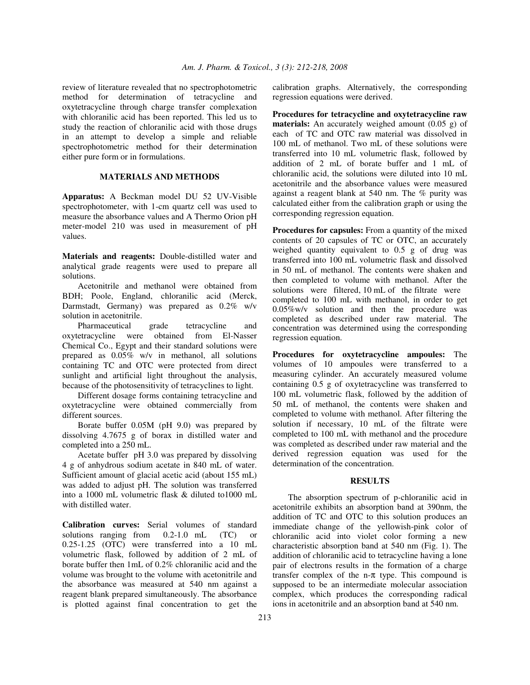review of literature revealed that no spectrophotometric method for determination of tetracycline and oxytetracycline through charge transfer complexation with chloranilic acid has been reported. This led us to study the reaction of chloranilic acid with those drugs in an attempt to develop a simple and reliable spectrophotometric method for their determination either pure form or in formulations.

# **MATERIALS AND METHODS**

**Apparatus:** A Beckman model DU 52 UV-Visible spectrophotometer, with 1-cm quartz cell was used to measure the absorbance values and A Thermo Orion pH meter-model 210 was used in measurement of pH values.

**Materials and reagents:** Double-distilled water and analytical grade reagents were used to prepare all solutions.

 Acetonitrile and methanol were obtained from BDH; Poole, England, chloranilic acid (Merck, Darmstadt, Germany) was prepared as 0.2% w/v solution in acetonitrile.

 Pharmaceutical grade tetracycline and oxytetracycline were obtained from El-Nasser Chemical Co., Egypt and their standard solutions were prepared as 0.05% w/v in methanol, all solutions containing TC and OTC were protected from direct sunlight and artificial light throughout the analysis, because of the photosensitivity of tetracyclines to light.

 Different dosage forms containing tetracycline and oxytetracycline were obtained commercially from different sources.

 Borate buffer 0.05M (pH 9.0) was prepared by dissolving 4.7675 g of borax in distilled water and completed into a 250 mL.

 Acetate buffer pH 3.0 was prepared by dissolving 4 g of anhydrous sodium acetate in 840 mL of water. Sufficient amount of glacial acetic acid (about 155 mL) was added to adjust pH. The solution was transferred into a 1000 mL volumetric flask & diluted to1000 mL with distilled water.

**Calibration curves:** Serial volumes of standard solutions ranging from 0.2-1.0 mL (TC) or 0.25-1.25 (OTC) were transferred into a 10 mL volumetric flask, followed by addition of 2 mL of borate buffer then 1mL of 0.2% chloranilic acid and the volume was brought to the volume with acetonitrile and the absorbance was measured at 540 nm against a reagent blank prepared simultaneously. The absorbance is plotted against final concentration to get the

calibration graphs. Alternatively, the corresponding regression equations were derived.

**Procedures for tetracycline and oxytetracycline raw materials:** An accurately weighed amount (0.05 g) of each of TC and OTC raw material was dissolved in 100 mL of methanol. Two mL of these solutions were transferred into 10 mL volumetric flask, followed by addition of 2 mL of borate buffer and 1 mL of chloranilic acid, the solutions were diluted into 10 mL acetonitrile and the absorbance values were measured against a reagent blank at 540 nm. The % purity was calculated either from the calibration graph or using the corresponding regression equation.

**Procedures for capsules:** From a quantity of the mixed contents of 20 capsules of TC or OTC, an accurately weighed quantity equivalent to 0.5 g of drug was transferred into 100 mL volumetric flask and dissolved in 50 mL of methanol. The contents were shaken and then completed to volume with methanol. After the solutions were filtered, 10 mL of the filtrate were completed to 100 mL with methanol, in order to get 0.05%w/v solution and then the procedure was completed as described under raw material. The concentration was determined using the corresponding regression equation.

**Procedures for oxytetracycline ampoules:** The volumes of 10 ampoules were transferred to a measuring cylinder. An accurately measured volume containing 0.5 g of oxytetracycline was transferred to 100 mL volumetric flask, followed by the addition of 50 mL of methanol, the contents were shaken and completed to volume with methanol. After filtering the solution if necessary, 10 mL of the filtrate were completed to 100 mL with methanol and the procedure was completed as described under raw material and the derived regression equation was used for the determination of the concentration.

## **RESULTS**

 The absorption spectrum of p*-*chloranilic acid in acetonitrile exhibits an absorption band at 390nm, the addition of TC and OTC to this solution produces an immediate change of the yellowish-pink color of chloranilic acid into violet color forming a new characteristic absorption band at 540 nm (Fig. 1). The addition of *c*hloranilic acid to tetracycline having a lone pair of electrons results in the formation of a charge transfer complex of the n- $\pi$  type. This compound is supposed to be an intermediate molecular association complex, which produces the corresponding radical ions in acetonitrile and an absorption band at 540 nm.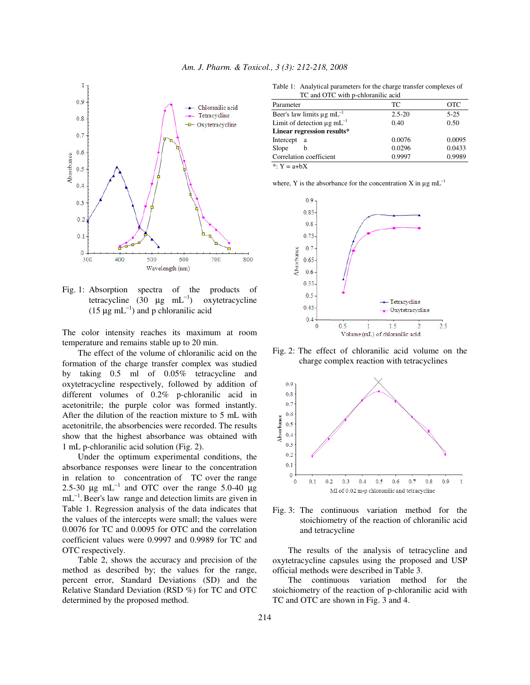

Fig. 1: Absorption spectra of the products of tetracycline  $(30 \mu g m L^{-1})$  oxytetracycline (15  $\mu$ g mL<sup>-1</sup>) and p chloranilic acid

The color intensity reaches its maximum at room temperature and remains stable up to 20 min.

 The effect of the volume of chloranilic acid on the formation of the charge transfer complex was studied by taking 0.5 ml of 0.05% tetracycline and oxytetracycline respectively, followed by addition of different volumes of 0.2% p-chloranilic acid in acetonitrile; the purple color was formed instantly. After the dilution of the reaction mixture to 5 mL with acetonitrile, the absorbencies were recorded. The results show that the highest absorbance was obtained with 1 mL p-chloranilic acid solution (Fig. 2).

 Under the optimum experimental conditions, the absorbance responses were linear to the concentration in relation to concentration of TC over the range 2.5-30  $\mu$ g mL<sup>-1</sup> and OTC over the range 5.0-40  $\mu$ g  $mL^{-1}$ . Beer's law range and detection limits are given in Table 1. Regression analysis of the data indicates that the values of the intercepts were small; the values were 0.0076 for TC and 0.0095 for OTC and the correlation coefficient values were 0.9997 and 0.9989 for TC and OTC respectively.

 Table 2, shows the accuracy and precision of the method as described by; the values for the range, percent error, Standard Deviations (SD) and the Relative Standard Deviation (RSD %) for TC and OTC determined by the proposed method.

Table 1: Analytical parameters for the charge transfer complexes of  $\Gamma$  with p-chloranilic a

| TC and OTC with p-chioralific acid          |            |            |
|---------------------------------------------|------------|------------|
| Parameter                                   | TC         | <b>OTC</b> |
| Beer's law limits $\mu$ g mL <sup>-1</sup>  | $2.5 - 20$ | $5 - 25$   |
| Limit of detection $\mu$ g mL <sup>-1</sup> | 0.40       | 0.50       |
| Linear regression results*                  |            |            |
| Intercept<br>- a                            | 0.0076     | 0.0095     |
| Slope<br>h                                  | 0.0296     | 0.0433     |
| Correlation coefficient                     | 0.9997     | 0.9989     |
| *: $Y = a + bX$                             |            |            |

where, Y is the absorbance for the concentration X in  $\mu$ g mL<sup>-1</sup>



Fig. 2: The effect of chloranilic acid volume on the charge complex reaction with tetracyclines



Fig. 3: The continuous variation method for the stoichiometry of the reaction of chloranilic acid and tetracycline

 The results of the analysis of tetracycline and oxytetracycline capsules using the proposed and USP official methods were described in Table 3.

 The continuous variation method for the stoichiometry of the reaction of p-chloranilic acid with TC and OTC are shown in Fig. 3 and 4.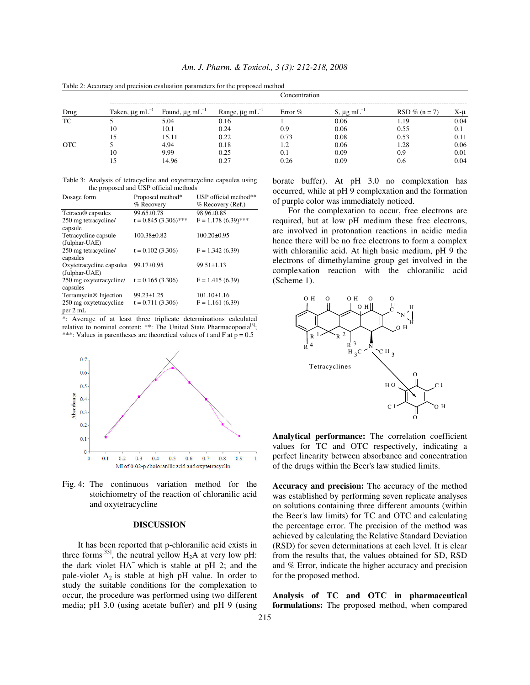| Am. J. Pharm. & Toxicol., 3 (3): 212-218, 2008 |  |  |  |  |  |  |
|------------------------------------------------|--|--|--|--|--|--|
|------------------------------------------------|--|--|--|--|--|--|

| Drug       |                           |                           |                                 | Concentration |                       |                  |      |
|------------|---------------------------|---------------------------|---------------------------------|---------------|-----------------------|------------------|------|
|            | Taken, $\mu$ g m $L^{-1}$ | Found, $\mu$ g m $L^{-1}$ | Range, $\mu$ g mL <sup>-1</sup> | Error $%$     | S, $\mu$ g m $L^{-1}$ | $RSD \% (n = 7)$ | X-u  |
| TC         |                           | 5.04                      | 0.16                            |               | 0.06                  | 1.19             | 0.04 |
|            | 10                        | 10.1                      | 0.24                            | 0.9           | 0.06                  | 0.55             | 0.1  |
|            |                           | 15.11                     | 0.22                            | 0.73          | 0.08                  | 0.53             | 0.11 |
| <b>OTC</b> |                           | 4.94                      | 0.18                            |               | 0.06                  | 1.28             | 0.06 |
|            | 10                        | 9.99                      | 0.25                            | 0.1           | 0.09                  | 0.9              | 0.01 |
|            |                           | 14.96                     | 0.27                            | 0.26          | 0.09                  | 0.6              | 0.04 |

Table 2: Accuracy and precision evaluation parameters for the proposed method

Table 3: Analysis of tetracycline and oxytetracycline capsules using the proposed and USP official methods

| Dosage form                         | Proposed method*       | USP official method** |
|-------------------------------------|------------------------|-----------------------|
|                                     | % Recovery             | % Recovery (Ref.)     |
| Tetraco <sup>®</sup> capsules       | $99.65 \pm 0.78$       | 98.96±0.85            |
| 250 mg tetracycline/<br>capsule     | $t = 0.845(3.306)$ *** | $F = 1.178(6.39)$ *** |
| Tetracycline capsule                | $100.38 \pm 0.82$      | $100.20 \pm 0.95$     |
| (Julphar-UAE)                       |                        |                       |
| 250 mg tetracycline/<br>capsules    | $t = 0.102(3.306)$     | $F = 1.342(6.39)$     |
| Oxytetracycline capsules            | 99.17±0.95             | $99.51 \pm 1.13$      |
| (Julphar-UAE)                       |                        |                       |
| 250 mg oxytetracycline/<br>capsules | $t = 0.165(3.306)$     | $F = 1.415(6.39)$     |
| Terramycin <sup>®</sup> Injection   | $99.23 \pm 1.25$       | $101.10 \pm 1.16$     |
| 250 mg oxytetracycline              | $t = 0.711(3.306)$     | $F = 1.161(6.39)$     |
| $\rm{per}$ 2 mL                     |                        |                       |

\*: Average of at least three triplicate determinations calculated relative to nominal content; \*\*: The United State Pharmacopoeia<sup>[3]</sup>. \*\*\*: Values in parentheses are theoretical values of t and F at  $p = 0.5$ 



Fig. 4: The continuous variation method for the stoichiometry of the reaction of chloranilic acid and oxytetracycline

#### **DISCUSSION**

 It has been reported that p-chloranilic acid exists in three forms<sup>[33]</sup>, the neutral yellow  $H_2A$  at very low pH: the dark violet HA<sup>−</sup> which is stable at pH 2; and the pale-violet  $A_2$  is stable at high pH value. In order to study the suitable conditions for the complexation to occur, the procedure was performed using two different media; pH 3.0 (using acetate buffer) and pH 9 (using borate buffer). At pH 3.0 no complexation has occurred, while at pH 9 complexation and the formation of purple color was immediately noticed.

 For the complexation to occur, free electrons are required, but at low pH medium these free electrons, are involved in protonation reactions in acidic media hence there will be no free electrons to form a complex with chloranilic acid. At high basic medium, pH 9 the electrons of dimethylamine group get involved in the complexation reaction with the chloranilic acid (Scheme 1).



**Analytical performance:** The correlation coefficient values for TC and OTC respectively, indicating a perfect linearity between absorbance and concentration of the drugs within the Beer's law studied limits.

**Accuracy and precision:** The accuracy of the method was established by performing seven replicate analyses on solutions containing three different amounts (within the Beer's law limits) for TC and OTC and calculating the percentage error. The precision of the method was achieved by calculating the Relative Standard Deviation (RSD) for seven determinations at each level. It is clear from the results that, the values obtained for SD, RSD and % Error, indicate the higher accuracy and precision for the proposed method.

**Analysis of TC and OTC in pharmaceutical formulations:** The proposed method, when compared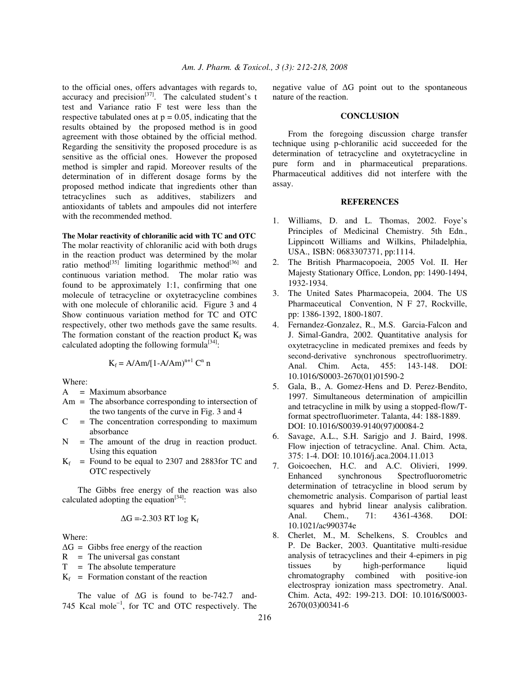to the official ones, offers advantages with regards to, accuracy and precision $^{[37]}$ . The calculated student's t test and Variance ratio F test were less than the respective tabulated ones at  $p = 0.05$ , indicating that the results obtained by the proposed method is in good agreement with those obtained by the official method. Regarding the sensitivity the proposed procedure is as sensitive as the official ones. However the proposed method is simpler and rapid. Moreover results of the determination of in different dosage forms by the proposed method indicate that ingredients other than tetracyclines such as additives, stabilizers and antioxidants of tablets and ampoules did not interfere with the recommended method.

# **The Molar reactivity of chloranilic acid with TC and OTC**

The molar reactivity of chloranilic acid with both drugs in the reaction product was determined by the molar ratio method<sup>[35]</sup> limiting logarithmic method<sup>[36]</sup> and continuous variation method. The molar ratio was found to be approximately 1:1, confirming that one molecule of tetracycline or oxytetracycline combines with one molecule of chloranilic acid. Figure 3 and 4 Show continuous variation method for TC and OTC respectively, other two methods gave the same results. The formation constant of the reaction product  $K_f$  was calculated adopting the following formula<sup>[34]</sup>:

$$
K_f = A/Am/[1 - A/Am)^{n+1} C^n n
$$

Where:

- A = Maximum absorbance
- Am = The absorbance corresponding to intersection of the two tangents of the curve in Fig. 3 and 4
- $C =$  The concentration corresponding to maximum absorbance
- $N =$  The amount of the drug in reaction product. Using this equation
- $K_f$  = Found to be equal to 2307 and 2883 for TC and OTC respectively

 The Gibbs free energy of the reaction was also calculated adopting the equation $[34]$ :

$$
\Delta G = -2.303 \text{ RT log } K_{\text{f}}
$$

Where:

 $\Delta G =$  Gibbs free energy of the reaction

- $R =$ The universal gas constant
- $T =$ The absolute temperature
- $K_f$  = Formation constant of the reaction

The value of  $\Delta G$  is found to be-742.7 and-745 Kcal mole<sup>−</sup><sup>1</sup> , for TC and OTC respectively. The negative value of  $\Delta G$  point out to the spontaneous nature of the reaction.

#### **CONCLUSION**

 From the foregoing discussion charge transfer technique using p-chloranilic acid succeeded for the determination of tetracycline and oxytetracycline in pure form and in pharmaceutical preparations. Pharmaceutical additives did not interfere with the assay.

## **REFERENCES**

- 1. Williams, D. and L. Thomas, 2002. Foye's Principles of Medicinal Chemistry. 5th Edn., Lippincott Williams and Wilkins, Philadelphia, USA., ISBN: 0683307371, pp:1114.
- 2. The British Pharmacopoeia, 2005 Vol. II. Her Majesty Stationary Office, London, pp: 1490-1494, 1932-1934.
- 3. The United Sates Pharmacopeia, 2004. The US Pharmaceutical Convention, N F 27, Rockville, pp: 1386-1392, 1800-1807.
- 4. Fernandez-Gonzalez, R., M.S. Garcia-Falcon and J. Simal-Gandra, 2002. Quantitative analysis for oxytetracycline in medicated premixes and feeds by second-derivative synchronous spectrofluorimetry. Anal. Chim. Acta, 455: 143-148. DOI: 10.1016/S0003-2670(01)01590-2
- 5. Gala, B., A. Gomez-Hens and D. Perez-Bendito, 1997. Simultaneous determination of ampicillin and tetracycline in milk by using a stopped-flow/Tformat spectrofluorimeter. Talanta, 44: 188-1889. DOI: 10.1016/S0039-9140(97)00084-2
- 6. Savage, A.L., S.H. Sarigjo and J. Baird, 1998. Flow injection of tetracycline. Anal. Chim. Acta, 375: 1-4. DOI: 10.1016/j.aca.2004.11.013
- 7. Goicoechen, H.C. and A.C. Olivieri, 1999. synchronous Spectrofluorometric determination of tetracycline in blood serum by chemometric analysis. Comparison of partial least squares and hybrid linear analysis calibration. Anal. Chem., 71: 4361-4368. DOI: 10.1021/ac990374e
- 8. Cherlet, M., M. Schelkens, S. Croublcs and P. De Backer, 2003. Quantitative multi-residue analysis of tetracyclines and their 4-epimers in pig tissues by high-performance liquid chromatography combined with positive-ion electrospray ionization mass spectrometry. Anal. Chim. Acta, 492: 199-213. DOI: 10.1016/S0003- 2670(03)00341-6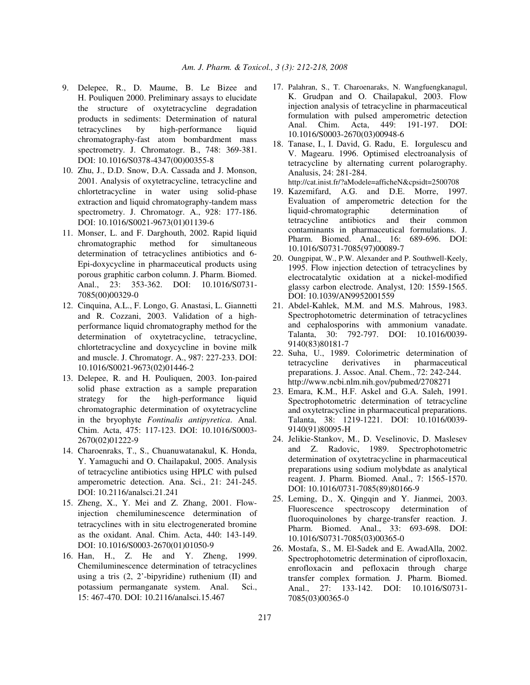- 9. Delepee, R., D. Maume, B. Le Bizee and H. Pouliquen 2000. Preliminary assays to elucidate the structure of oxytetracycline degradation products in sediments: Determination of natural tetracyclines by high-performance liquid chromatography-fast atom bombardment mass spectrometry. J. Chromatogr. B., 748: 369-381. DOI: 10.1016/S0378-4347(00)00355-8
- 10. Zhu, J., D.D. Snow, D.A. Cassada and J. Monson, 2001. Analysis of oxytetracycline, tetracycline and chlortetracycline in water using solid-phase extraction and liquid chromatography-tandem mass spectrometry. J. Chromatogr. A., 928: 177-186. DOI: 10.1016/S0021-9673(01)01139-6
- 11. Monser, L. and F. Darghouth, 2002. Rapid liquid chromatographic method for simultaneous determination of tetracyclines antibiotics and 6- Epi-doxycycline in pharmaceutical products using porous graphitic carbon column. J. Pharm. Biomed. Anal., 23: 353-362. DOI: 10.1016/S0731- 7085(00)00329-0
- 12. Cinquina, A.L., F. Longo, G. Anastasi, L. Giannetti and R. Cozzani, 2003. Validation of a highperformance liquid chromatography method for the determination of oxytetracycline, tetracycline, chlortetracycline and doxycycline in bovine milk and muscle. J. Chromatogr. A., 987: 227-233. DOI: 10.1016/S0021-9673(02)01446-2
- 13. Delepee, R. and H. Pouliquen, 2003. Ion-paired solid phase extraction as a sample preparation strategy for the high-performance liquid chromatographic determination of oxytetracycline in the bryophyte *Fontinalis antipyretica*. Anal. Chim. Acta, 475: 117-123. DOI: 10.1016/S0003- 2670(02)01222-9
- 14. Charoenraks, T., S., Chuanuwatanakul, K. Honda, Y. Yamaguchi and O. Chailapakul, 2005. Analysis of tetracycline antibiotics using HPLC with pulsed amperometric detection. Ana. Sci., 21: 241-245. DOI: 10.2116/analsci.21.241
- 15. Zheng, X., Y. Mei and Z. Zhang, 2001. Flowinjection chemiluminescence determination of tetracyclines with in situ electrogenerated bromine as the oxidant. Anal. Chim. Acta, 440: 143-149. DOI: 10.1016/S0003-2670(01)01050-9
- 16. Han, H., Z. He and Y. Zheng, 1999. Chemiluminescence determination of tetracyclines using a tris  $(2, 2)$ -bipyridine) ruthenium  $(II)$  and potassium permanganate system. Anal. Sci., 15: 467-470. DOI: 10.2116/analsci.15.467
- 17. Palahran, S., T. Charoenaraks, N. Wangfuengkanagul, K. Grudpan and O. Chailapakul, 2003. Flow injection analysis of tetracycline in pharmaceutical formulation with pulsed amperometric detection Anal. Chim. Acta, 449: 191-197. DOI: 10.1016/S0003-2670(03)00948-6
- 18. Tanase, I., I. David, G. Radu, E. Iorgulescu and V. Magearu. 1996. Optimised electroanalysis of tetracycline by alternating current polarography. Analusis, 24: 281-284.

http://cat.inist.fr/?aModele=afficheN&cpsidt=2500708

- 19. Kazemifard, A.G. and D.E. Morre, 1997. Evaluation of amperometric detection for the liquid-chromatographic determination of tetracycline antibiotics and their common contaminants in pharmaceutical formulations. J. Pharm. Biomed. Anal., 16: 689-696. DOI: 10.1016/S0731-7085(97)00089-7
- 20. Oungpipat, W., P.W. Alexander and P. Southwell-Keely, 1995. Flow injection detection of tetracyclines by electrocatalytic oxidation at a nickel-modified glassy carbon electrode. Analyst, 120: 1559-1565. DOI: 10.1039/AN9952001559
- 21. Abdel-Kahlek, M.M. and M.S. Mahrous, 1983. Spectrophotometric determination of tetracyclines and cephalosporins with ammonium vanadate. Talanta, 30: 792-797. DOI: 10.1016/0039- 9140(83)80181-7
- 22. Suha, U., 1989. Colorimetric determination of tetracycline derivatives in pharmaceutical preparations. J. Assoc. Anal. Chem., 72: 242-244. http://www.ncbi.nlm.nih.gov/pubmed/2708271
- 23. Emara, K.M., H.F. Askel and G.A. Saleh, 1991. Spectrophotometric determination of tetracycline and oxytetracycline in pharmaceutical preparations. Talanta, 38: 1219-1221. DOI: 10.1016/0039- 9140(91)80095-H
- 24. Jelikie-Stankov, M., D. Veselinovic, D. Maslesev and Z. Radovic, 1989. Spectrophotometric determination of oxytetracycline in pharmaceutical preparations using sodium molybdate as analytical reagent. J. Pharm. Biomed. Anal., 7: 1565-1570. DOI: 10.1016/0731-7085(89)80166-9
- 25. Leming, D., X. Qingqin and Y. Jianmei, 2003. Fluorescence spectroscopy determination of fluoroquinolones by charge-transfer reaction. J. Pharm. Biomed. Anal., 33: 693-698. DOI: 10.1016/S0731-7085(03)00365-0
- 26. Mostafa, S., M. El-Sadek and E. AwadAlla, 2002. Spectrophotometric determination of ciprofloxacin, enrofloxacin and pefloxacin through charge transfer complex formation*.* J. Pharm. Biomed. Anal., 27: 133-142. DOI: 10.1016/S0731- 7085(03)00365-0